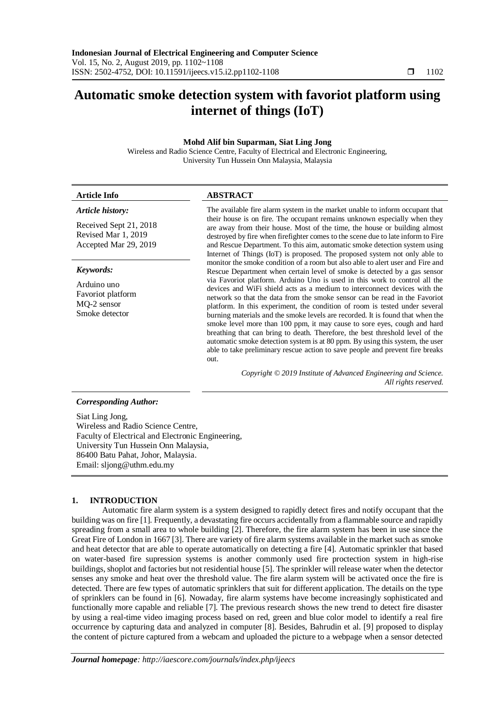# **Automatic smoke detection system with favoriot platform using internet of things (IoT)**

# **Mohd Alif bin Suparman, Siat Ling Jong**

Wireless and Radio Science Centre, Faculty of Electrical and Electronic Engineering, University Tun Hussein Onn Malaysia, Malaysia

| <b>Article Info</b>                                                    | <b>ABSTRACT</b>                                                                                                                                                                                                                                                                                                                                                                                                                                                                                                                                                                                                                                                                                                                               |  |  |
|------------------------------------------------------------------------|-----------------------------------------------------------------------------------------------------------------------------------------------------------------------------------------------------------------------------------------------------------------------------------------------------------------------------------------------------------------------------------------------------------------------------------------------------------------------------------------------------------------------------------------------------------------------------------------------------------------------------------------------------------------------------------------------------------------------------------------------|--|--|
| Article history:                                                       | The available fire alarm system in the market unable to inform occupant that                                                                                                                                                                                                                                                                                                                                                                                                                                                                                                                                                                                                                                                                  |  |  |
| Received Sept 21, 2018<br>Revised Mar 1, 2019<br>Accepted Mar 29, 2019 | their house is on fire. The occupant remains unknown especially when they<br>are away from their house. Most of the time, the house or building almost<br>destroyed by fire when firefighter comes to the scene due to late inform to Fire<br>and Rescue Department. To this aim, automatic smoke detection system using<br>Internet of Things (IoT) is proposed. The proposed system not only able to                                                                                                                                                                                                                                                                                                                                        |  |  |
| Keywords:                                                              | monitor the smoke condition of a room but also able to alert user and Fire and<br>Rescue Department when certain level of smoke is detected by a gas sensor                                                                                                                                                                                                                                                                                                                                                                                                                                                                                                                                                                                   |  |  |
| Arduino uno<br>Favoriot platform<br>MQ-2 sensor<br>Smoke detector      | via Favoriot platform. Arduino Uno is used in this work to control all the<br>devices and WiFi shield acts as a medium to interconnect devices with the<br>network so that the data from the smoke sensor can be read in the Favoriot<br>platform. In this experiment, the condition of room is tested under several<br>burning materials and the smoke levels are recorded. It is found that when the<br>smoke level more than 100 ppm, it may cause to sore eyes, cough and hard<br>breathing that can bring to death. Therefore, the best threshold level of the<br>automatic smoke detection system is at 80 ppm. By using this system, the user<br>able to take preliminary rescue action to save people and prevent fire breaks<br>out. |  |  |
|                                                                        | Copyright © 2019 Institute of Advanced Engineering and Science.<br>All rights reserved.                                                                                                                                                                                                                                                                                                                                                                                                                                                                                                                                                                                                                                                       |  |  |
| <b>Corresponding Author:</b>                                           |                                                                                                                                                                                                                                                                                                                                                                                                                                                                                                                                                                                                                                                                                                                                               |  |  |
| Siat Ling Jong,<br>$\mathbf{W}$ in the $\mathbf{W}$                    |                                                                                                                                                                                                                                                                                                                                                                                                                                                                                                                                                                                                                                                                                                                                               |  |  |

Wireless and Radio Science Centre, Faculty of Electrical and Electronic Engineering, University Tun Hussein Onn Malaysia, 86400 Batu Pahat, Johor, Malaysia. Email: sljong@uthm.edu.my

# **1. INTRODUCTION**

Automatic fire alarm system is a system designed to rapidly detect fires and notify occupant that the building was on fire [1]. Frequently, a devastating fire occurs accidentally from a flammable source and rapidly spreading from a small area to whole building [2]. Therefore, the fire alarm system has been in use since the Great Fire of London in 1667 [3]. There are variety of fire alarm systems available in the market such as smoke and heat detector that are able to operate automatically on detecting a fire [4]. Automatic sprinkler that based on water-based fire supression systems is another commonly used fire proctection system in high-rise buildings, shoplot and factories but not residential house [5]. The sprinkler will release water when the detector senses any smoke and heat over the threshold value. The fire alarm system will be activated once the fire is detected. There are few types of automatic sprinklers that suit for different application. The details on the type of sprinklers can be found in [6]. Nowaday, fire alarm systems have become increasingly sophisticated and functionally more capable and reliable [7]. The previous research shows the new trend to detect fire disaster by using a real-time video imaging process based on red, green and blue color model to identify a real fire occurrence by capturing data and analyzed in computer [8]. Besides, Bahrudin et al. [9] proposed to display the content of picture captured from a webcam and uploaded the picture to a webpage when a sensor detected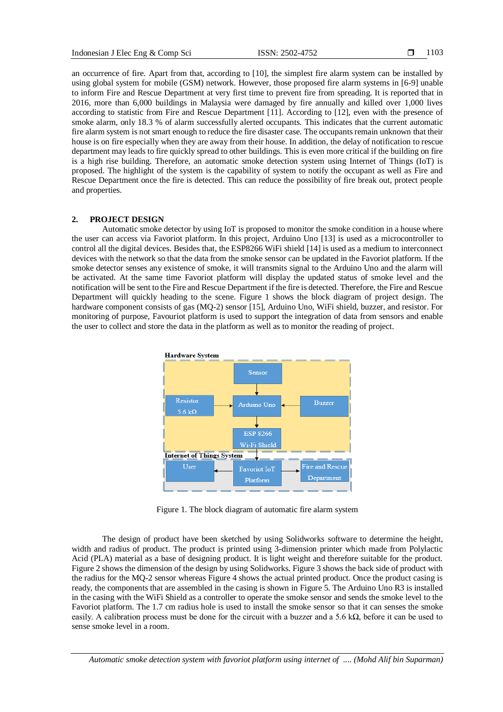an occurrence of fire. Apart from that, according to [10], the simplest fire alarm system can be installed by using global system for mobile (GSM) network. However, those proposed fire alarm systems in [6-9] unable to inform Fire and Rescue Department at very first time to prevent fire from spreading. It is reported that in 2016, more than 6,000 buildings in Malaysia were damaged by fire annually and killed over 1,000 lives according to statistic from Fire and Rescue Department [11]. According to [12], even with the presence of smoke alarm, only 18.3 % of alarm successfully alerted occupants. This indicates that the current automatic fire alarm system is not smart enough to reduce the fire disaster case. The occupants remain unknown that their house is on fire especially when they are away from their house. In addition, the delay of notification to rescue department may leads to fire quickly spread to other buildings. This is even more critical if the building on fire is a high rise building. Therefore, an automatic smoke detection system using Internet of Things (IoT) is proposed. The highlight of the system is the capability of system to notify the occupant as well as Fire and Rescue Department once the fire is detected. This can reduce the possibility of fire break out, protect people and properties.

## **2. PROJECT DESIGN**

Automatic smoke detector by using IoT is proposed to monitor the smoke condition in a house where the user can access via Favoriot platform. In this project, Arduino Uno [13] is used as a microcontroller to control all the digital devices. Besides that, the ESP8266 WiFi shield [14] is used as a medium to interconnect devices with the network so that the data from the smoke sensor can be updated in the Favoriot platform. If the smoke detector senses any existence of smoke, it will transmits signal to the Arduino Uno and the alarm will be activated. At the same time Favoriot platform will display the updated status of smoke level and the notification will be sent to the Fire and Rescue Department if the fire is detected. Therefore, the Fire and Rescue Department will quickly heading to the scene. Figure 1 shows the block diagram of project design. The hardware component consists of gas (MQ-2) sensor [15], Arduino Uno, WiFi shield, buzzer, and resistor. For monitoring of purpose, Favouriot platform is used to support the integration of data from sensors and enable the user to collect and store the data in the platform as well as to monitor the reading of project.



Figure 1. The block diagram of automatic fire alarm system

The design of product have been sketched by using Solidworks software to determine the height, width and radius of product. The product is printed using 3-dimension printer which made from Polylactic Acid (PLA) material as a base of designing product. It is light weight and therefore suitable for the product. Figure 2 shows the dimension of the design by using Solidworks. Figure 3 shows the back side of product with the radius for the MQ-2 sensor whereas Figure 4 shows the actual printed product. Once the product casing is ready, the components that are assembled in the casing is shown in Figure 5. The Arduino Uno R3 is installed in the casing with the WiFi Shield as a controller to operate the smoke sensor and sends the smoke level to the Favoriot platform. The 1.7 cm radius hole is used to install the smoke sensor so that it can senses the smoke easily. A calibration process must be done for the circuit with a buzzer and a 5.6 k $\Omega$ , before it can be used to sense smoke level in a room.

*Automatic smoke detection system with favoriot platform using internet of .... (Mohd Alif bin Suparman)*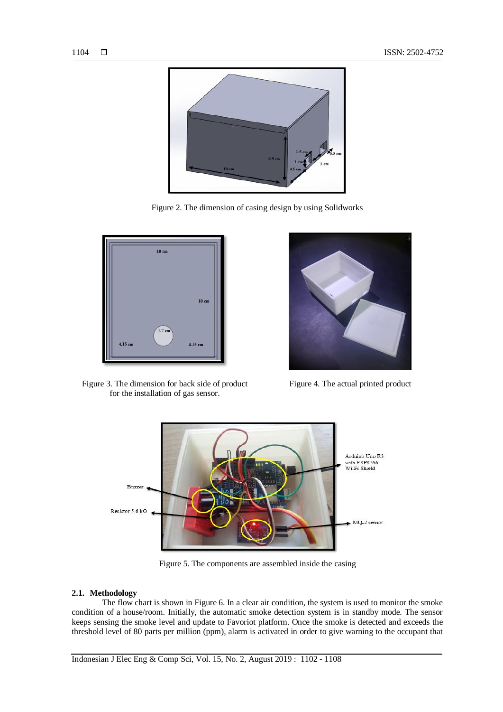

Figure 2. The dimension of casing design by using Solidworks



Figure 3. The dimension for back side of product for the installation of gas sensor.



Figure 4. The actual printed product



Figure 5. The components are assembled inside the casing

### **2.1. Methodology**

The flow chart is shown in Figure 6. In a clear air condition, the system is used to monitor the smoke condition of a house/room. Initially, the automatic smoke detection system is in standby mode. The sensor keeps sensing the smoke level and update to Favoriot platform. Once the smoke is detected and exceeds the threshold level of 80 parts per million (ppm), alarm is activated in order to give warning to the occupant that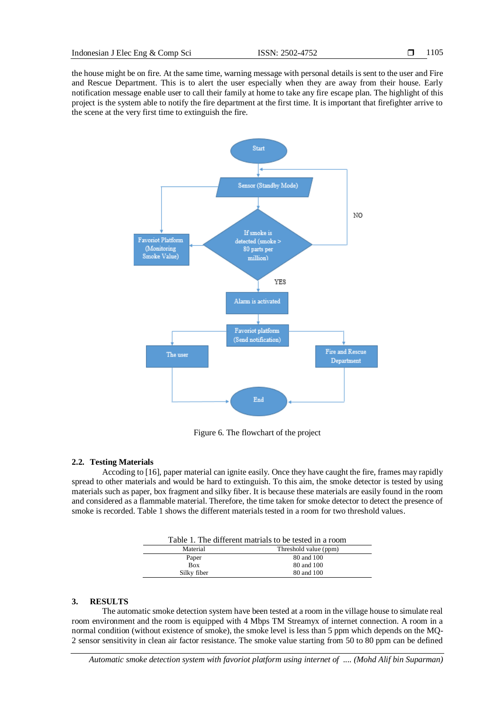the house might be on fire. At the same time, warning message with personal details is sent to the user and Fire and Rescue Department. This is to alert the user especially when they are away from their house. Early notification message enable user to call their family at home to take any fire escape plan. The highlight of this project is the system able to notify the fire department at the first time. It is important that firefighter arrive to the scene at the very first time to extinguish the fire.



Figure 6. The flowchart of the project

#### **2.2. Testing Materials**

Accoding to [16], paper material can ignite easily. Once they have caught the fire, frames may rapidly spread to other materials and would be hard to extinguish. To this aim, the smoke detector is tested by using materials such as paper, box fragment and silky fiber. It is because these materials are easily found in the room and considered as a flammable material. Therefore, the time taken for smoke detector to detect the presence of smoke is recorded. Table 1 shows the different materials tested in a room for two threshold values.

| Table 1. The different matrials to be tested in a room |                       |  |
|--------------------------------------------------------|-----------------------|--|
| Material                                               | Threshold value (ppm) |  |
| Paper                                                  | 80 and 100            |  |
| <b>Box</b>                                             | 80 and 100            |  |
| Silky fiber                                            | 80 and 100            |  |

#### **3. RESULTS**

The automatic smoke detection system have been tested at a room in the village house to simulate real room environment and the room is equipped with 4 Mbps TM Streamyx of internet connection. A room in a normal condition (without existence of smoke), the smoke level is less than 5 ppm which depends on the MQ-2 sensor sensitivity in clean air factor resistance. The smoke value starting from 50 to 80 ppm can be defined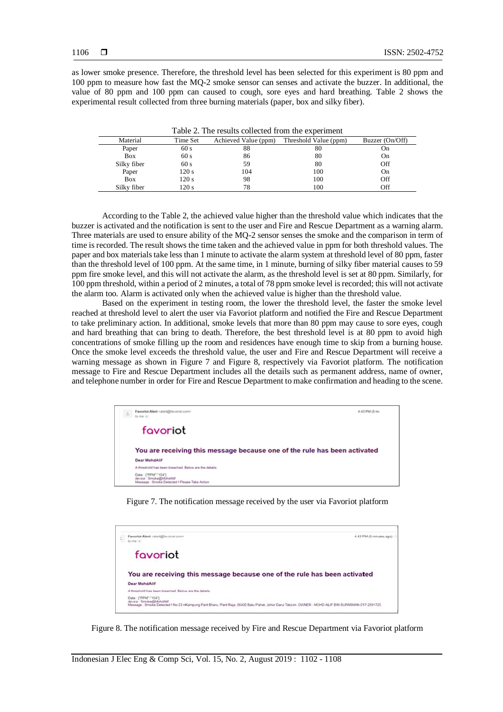as lower smoke presence. Therefore, the threshold level has been selected for this experiment is 80 ppm and 100 ppm to measure how fast the MQ-2 smoke sensor can senses and activate the buzzer. In additional, the value of 80 ppm and 100 ppm can caused to cough, sore eyes and hard breathing. Table 2 shows the experimental result collected from three burning materials (paper, box and silky fiber).

| Table 2. The results collected from the experiment |          |                      |                       |                 |  |
|----------------------------------------------------|----------|----------------------|-----------------------|-----------------|--|
| Material                                           | Time Set | Achieved Value (ppm) | Threshold Value (ppm) | Buzzer (On/Off) |  |
| Paper                                              | 60 s     | 88                   | 80                    | On              |  |
| <b>Box</b>                                         | 60s      | 86                   | 80                    | On              |  |
| Silky fiber                                        | 60 s     | 59                   | 80                    | Off             |  |
| Paper                                              | 120 s    | 104                  | 100                   | On              |  |
| <b>Box</b>                                         | 120s     | 98                   | 100                   | Off             |  |
| Silky fiber                                        | 120 s    | 78                   | 100                   | Off             |  |

According to the Table 2, the achieved value higher than the threshold value which indicates that the buzzer is activated and the notification is sent to the user and Fire and Rescue Department as a warning alarm. Three materials are used to ensure ability of the MQ-2 sensor senses the smoke and the comparison in term of time is recorded. The result shows the time taken and the achieved value in ppm for both threshold values. The paper and box materials take less than 1 minute to activate the alarm system at threshold level of 80 ppm, faster than the threshold level of 100 ppm. At the same time, in 1 minute, burning of silky fiber material causes to 59 ppm fire smoke level, and this will not activate the alarm, as the threshold level is set at 80 ppm. Similarly, for 100 ppm threshold, within a period of 2 minutes, a total of 78 ppm smoke level is recorded; this will not activate the alarm too. Alarm is activated only when the achieved value is higher than the threshold value.

Based on the experiment in testing room, the lower the threshold level, the faster the smoke level reached at threshold level to alert the user via Favoriot platform and notified the Fire and Rescue Department to take preliminary action. In additional, smoke levels that more than 80 ppm may cause to sore eyes, cough and hard breathing that can bring to death. Therefore, the best threshold level is at 80 ppm to avoid high concentrations of smoke filling up the room and residences have enough time to skip from a burning house. Once the smoke level exceeds the threshold value, the user and Fire and Rescue Department will receive a warning message as shown in Figure 7 and Figure 8, respectively via Favoriot platform. The notification message to Fire and Rescue Department includes all the details such as permanent address, name of owner, and telephone number in order for Fire and Rescue Department to make confirmation and heading to the scene.



Figure 7. The notification message received by the user via Favoriot platform



Figure 8. The notification message received by Fire and Rescue Department via Favoriot platform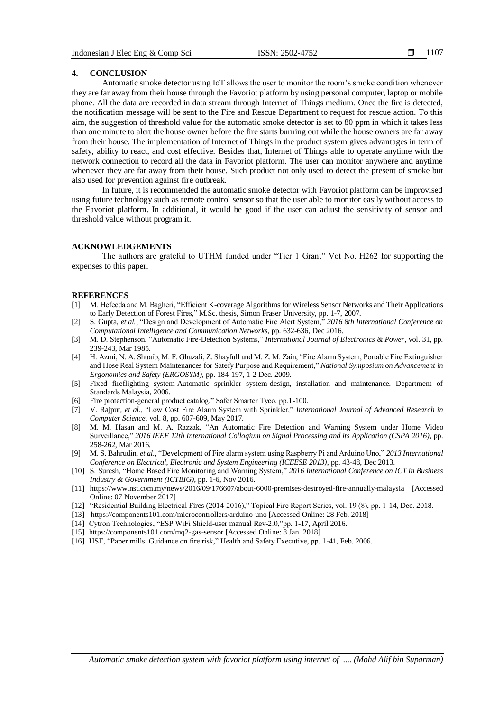#### **4. CONCLUSION**

Automatic smoke detector using IoT allows the user to monitor the room's smoke condition whenever they are far away from their house through the Favoriot platform by using personal computer, laptop or mobile phone. All the data are recorded in data stream through Internet of Things medium. Once the fire is detected, the notification message will be sent to the Fire and Rescue Department to request for rescue action. To this aim, the suggestion of threshold value for the automatic smoke detector is set to 80 ppm in which it takes less than one minute to alert the house owner before the fire starts burning out while the house owners are far away from their house. The implementation of Internet of Things in the product system gives advantages in term of safety, ability to react, and cost effective. Besides that, Internet of Things able to operate anytime with the network connection to record all the data in Favoriot platform. The user can monitor anywhere and anytime whenever they are far away from their house. Such product not only used to detect the present of smoke but also used for prevention against fire outbreak.

In future, it is recommended the automatic smoke detector with Favoriot platform can be improvised using future technology such as remote control sensor so that the user able to monitor easily without access to the Favoriot platform. In additional, it would be good if the user can adjust the sensitivity of sensor and threshold value without program it.

## **ACKNOWLEDGEMENTS**

The authors are grateful to UTHM funded under "Tier 1 Grant" Vot No. H262 for supporting the expenses to this paper.

#### **REFERENCES**

- [1] M. Hefeeda and M. Bagheri, "Efficient K-coverage Algorithms for Wireless Sensor Networks and Their Applications to Early Detection of Forest Fires," M.Sc. thesis, Simon Fraser University, pp. 1-7, 2007.
- [2] S. Gupta, *et al.*, "Design and Development of Automatic Fire Alert System," *2016 8th International Conference on Computational Intelligence and Communication Networks*, pp. 632-636, Dec 2016.
- [3] M. D. Stephenson, "Automatic Fire-Detection Systems," *International Journal of Electronics & Power*, vol. 31, pp. 239-243, Mar 1985.
- [4] H. Azmi, N. A. Shuaib, M. F. Ghazali, Z. Shayfull and M. Z. M. Zain, "Fire Alarm System, Portable Fire Extinguisher and Hose Real System Maintenances for Satefy Purpose and Requirement," *National Symposium on Advancement in Ergonomics and Safety (ERGOSYM)*, pp. 184-197, 1-2 Dec. 2009.
- [5] Fixed fireflighting system-Automatic sprinkler system-design, installation and maintenance. Department of Standards Malaysia, 2006.
- [6] Fire protection-general product catalog." Safer Smarter Tyco. pp.1-100.
- [7] V. Rajput, *et al.*, "Low Cost Fire Alarm System with Sprinkler," *International Journal of Advanced Research in Computer Science,* vol. 8, pp. 607-609, May 2017.
- [8] M. M. Hasan and M. A. Razzak, "An Automatic Fire Detection and Warning System under Home Video Surveillance," *2016 IEEE 12th International Colloqium on Signal Processing and its Application (CSPA 2016)*, pp. 258-262, Mar 2016.
- [9] M. S. Bahrudin, *et al.*, "Development of Fire alarm system using Raspberry Pi and Arduino Uno," *2013 International Conference on Electrical, Electronic and System Engineering (ICEESE 2013)*, pp. 43-48, Dec 2013.
- [10] S. Suresh, "Home Based Fire Monitoring and Warning System," *2016 International Conference on ICT in Business Industry & Government (ICTBIG)*, pp. 1-6, Nov 2016.
- [11] https://www.nst.com.my/news/2016/09/176607/about-6000-premises-destroyed-fire-annually-malaysia [Accessed Online: 07 November 2017]
- [12] "Residential Building Electrical Fires (2014-2016)," Topical Fire Report Series, vol. 19 (8), pp. 1-14, Dec. 2018.
- [13] https://components101.com/microcontrollers/arduino-uno [Accessed Online: 28 Feb. 2018]
- [14] Cytron Technologies, "ESP WiFi Shield-user manual Rev-2.0,"pp. 1-17, April 2016.
- [15] https://components101.com/mq2-gas-sensor [Accessed Online: 8 Jan. 2018]
- [16] HSE, "Paper mills: Guidance on fire risk," Health and Safety Executive, pp. 1-41, Feb. 2006.